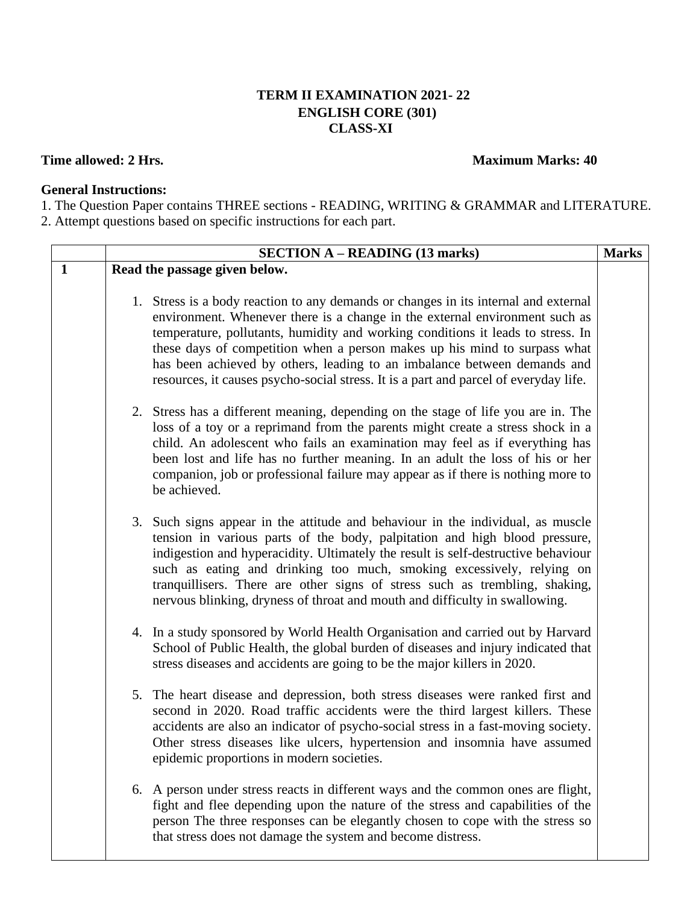## **TERM II EXAMINATION 2021- 22 ENGLISH CORE (301) CLASS-XI**

## **Time allowed:** 2 Hrs. **Maximum** Marks: 40

## **General Instructions:**

1. The Question Paper contains THREE sections - READING, WRITING & GRAMMAR and LITERATURE. 2. Attempt questions based on specific instructions for each part.

|              | <b>SECTION A – READING (13 marks)</b>                                                                                                                                                                                                                                                                                                                                                                                                                                                                  | <b>Marks</b> |
|--------------|--------------------------------------------------------------------------------------------------------------------------------------------------------------------------------------------------------------------------------------------------------------------------------------------------------------------------------------------------------------------------------------------------------------------------------------------------------------------------------------------------------|--------------|
| $\mathbf{1}$ | Read the passage given below.                                                                                                                                                                                                                                                                                                                                                                                                                                                                          |              |
|              | 1. Stress is a body reaction to any demands or changes in its internal and external<br>environment. Whenever there is a change in the external environment such as<br>temperature, pollutants, humidity and working conditions it leads to stress. In<br>these days of competition when a person makes up his mind to surpass what<br>has been achieved by others, leading to an imbalance between demands and<br>resources, it causes psycho-social stress. It is a part and parcel of everyday life. |              |
|              | 2. Stress has a different meaning, depending on the stage of life you are in. The<br>loss of a toy or a reprimand from the parents might create a stress shock in a<br>child. An adolescent who fails an examination may feel as if everything has<br>been lost and life has no further meaning. In an adult the loss of his or her<br>companion, job or professional failure may appear as if there is nothing more to<br>be achieved.                                                                |              |
|              | 3. Such signs appear in the attitude and behaviour in the individual, as muscle<br>tension in various parts of the body, palpitation and high blood pressure,<br>indigestion and hyperacidity. Ultimately the result is self-destructive behaviour<br>such as eating and drinking too much, smoking excessively, relying on<br>tranquillisers. There are other signs of stress such as trembling, shaking,<br>nervous blinking, dryness of throat and mouth and difficulty in swallowing.              |              |
|              | 4. In a study sponsored by World Health Organisation and carried out by Harvard<br>School of Public Health, the global burden of diseases and injury indicated that<br>stress diseases and accidents are going to be the major killers in 2020.                                                                                                                                                                                                                                                        |              |
|              | 5. The heart disease and depression, both stress diseases were ranked first and<br>second in 2020. Road traffic accidents were the third largest killers. These<br>accidents are also an indicator of psycho-social stress in a fast-moving society.<br>Other stress diseases like ulcers, hypertension and insomnia have assumed<br>epidemic proportions in modern societies.                                                                                                                         |              |
|              | 6. A person under stress reacts in different ways and the common ones are flight,<br>fight and flee depending upon the nature of the stress and capabilities of the<br>person The three responses can be elegantly chosen to cope with the stress so<br>that stress does not damage the system and become distress.                                                                                                                                                                                    |              |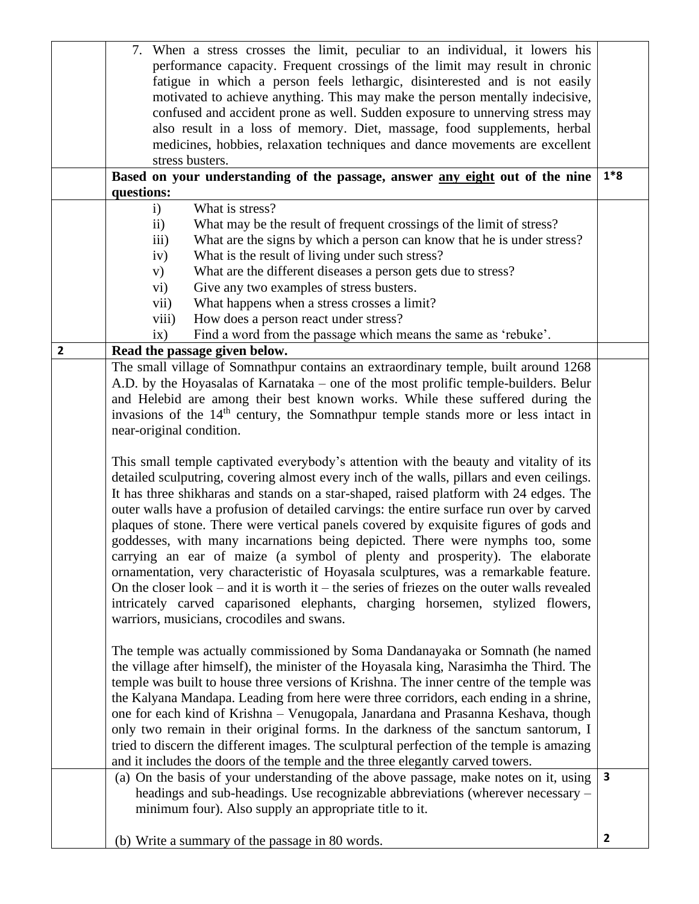|                         | 7. When a stress crosses the limit, peculiar to an individual, it lowers his                   |              |
|-------------------------|------------------------------------------------------------------------------------------------|--------------|
|                         | performance capacity. Frequent crossings of the limit may result in chronic                    |              |
|                         | fatigue in which a person feels lethargic, disinterested and is not easily                     |              |
|                         | motivated to achieve anything. This may make the person mentally indecisive,                   |              |
|                         | confused and accident prone as well. Sudden exposure to unnerving stress may                   |              |
|                         | also result in a loss of memory. Diet, massage, food supplements, herbal                       |              |
|                         | medicines, hobbies, relaxation techniques and dance movements are excellent                    |              |
|                         | stress busters.                                                                                |              |
|                         | Based on your understanding of the passage, answer any eight out of the nine                   | $1*8$        |
|                         | questions:                                                                                     |              |
|                         | What is stress?<br>$\mathbf{i}$                                                                |              |
|                         | $\mathbf{ii}$<br>What may be the result of frequent crossings of the limit of stress?          |              |
|                         | What are the signs by which a person can know that he is under stress?<br>iii)                 |              |
|                         | What is the result of living under such stress?<br>iv)                                         |              |
|                         | What are the different diseases a person gets due to stress?<br>V)                             |              |
|                         | Give any two examples of stress busters.<br>vi)                                                |              |
|                         | What happens when a stress crosses a limit?<br>vii)                                            |              |
|                         | How does a person react under stress?<br>viii)                                                 |              |
|                         | Find a word from the passage which means the same as 'rebuke'.<br>ix)                          |              |
| $\overline{\mathbf{2}}$ | Read the passage given below.                                                                  |              |
|                         | The small village of Somnathpur contains an extraordinary temple, built around 1268            |              |
|                         | A.D. by the Hoyasalas of Karnataka – one of the most prolific temple-builders. Belur           |              |
|                         | and Helebid are among their best known works. While these suffered during the                  |              |
|                         |                                                                                                |              |
|                         | invasions of the 14 <sup>th</sup> century, the Somnathpur temple stands more or less intact in |              |
|                         | near-original condition.                                                                       |              |
|                         | This small temple captivated everybody's attention with the beauty and vitality of its         |              |
|                         | detailed sculputring, covering almost every inch of the walls, pillars and even ceilings.      |              |
|                         | It has three shikharas and stands on a star-shaped, raised platform with 24 edges. The         |              |
|                         | outer walls have a profusion of detailed carvings: the entire surface run over by carved       |              |
|                         |                                                                                                |              |
|                         | plaques of stone. There were vertical panels covered by exquisite figures of gods and          |              |
|                         | goddesses, with many incarnations being depicted. There were nymphs too, some                  |              |
|                         | carrying an ear of maize (a symbol of plenty and prosperity). The elaborate                    |              |
|                         | ornamentation, very characteristic of Hoyasala sculptures, was a remarkable feature.           |              |
|                         | On the closer look – and it is worth it – the series of friezes on the outer walls revealed    |              |
|                         | intricately carved caparisoned elephants, charging horsemen, stylized flowers,                 |              |
|                         | warriors, musicians, crocodiles and swans.                                                     |              |
|                         |                                                                                                |              |
|                         | The temple was actually commissioned by Soma Dandanayaka or Somnath (he named                  |              |
|                         | the village after himself), the minister of the Hoyasala king, Narasimha the Third. The        |              |
|                         | temple was built to house three versions of Krishna. The inner centre of the temple was        |              |
|                         | the Kalyana Mandapa. Leading from here were three corridors, each ending in a shrine,          |              |
|                         | one for each kind of Krishna - Venugopala, Janardana and Prasanna Keshava, though              |              |
|                         | only two remain in their original forms. In the darkness of the sanctum santorum, I            |              |
|                         | tried to discern the different images. The sculptural perfection of the temple is amazing      |              |
|                         | and it includes the doors of the temple and the three elegantly carved towers.                 |              |
|                         | (a) On the basis of your understanding of the above passage, make notes on it, using           | $\mathbf{3}$ |
|                         | headings and sub-headings. Use recognizable abbreviations (wherever necessary –                |              |
|                         | minimum four). Also supply an appropriate title to it.                                         |              |
|                         |                                                                                                |              |
|                         | (b) Write a summary of the passage in 80 words.                                                | $\mathbf{2}$ |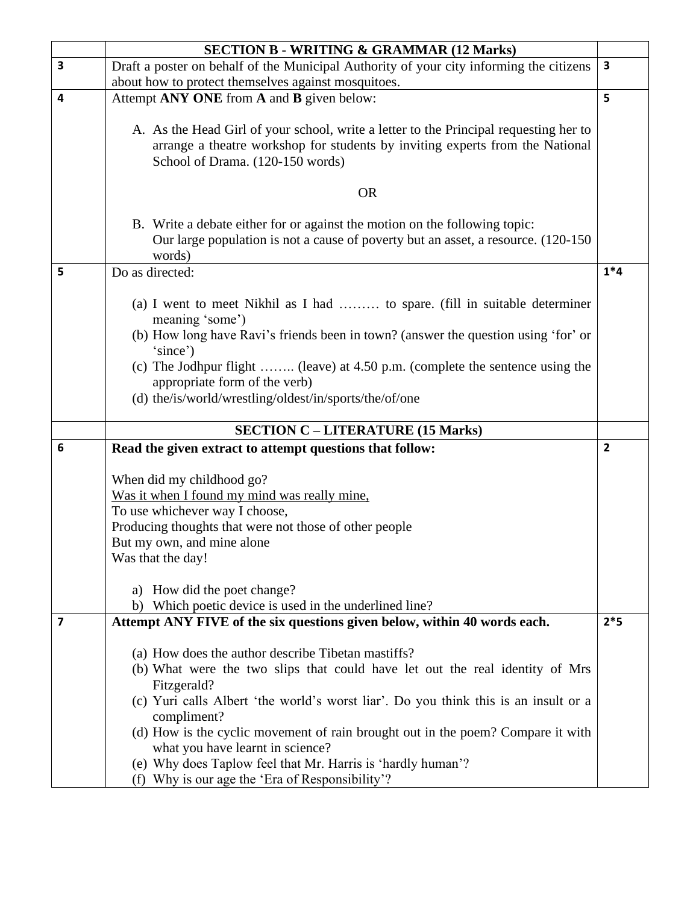|                         | <b>SECTION B - WRITING &amp; GRAMMAR (12 Marks)</b>                                                            |                         |  |
|-------------------------|----------------------------------------------------------------------------------------------------------------|-------------------------|--|
| 3                       | Draft a poster on behalf of the Municipal Authority of your city informing the citizens                        | $\overline{\mathbf{3}}$ |  |
|                         | about how to protect themselves against mosquitoes.                                                            |                         |  |
| 4                       | Attempt ANY ONE from A and B given below:                                                                      | 5                       |  |
|                         |                                                                                                                |                         |  |
|                         | A. As the Head Girl of your school, write a letter to the Principal requesting her to                          |                         |  |
|                         | arrange a theatre workshop for students by inviting experts from the National                                  |                         |  |
|                         | School of Drama. (120-150 words)                                                                               |                         |  |
|                         | <b>OR</b>                                                                                                      |                         |  |
|                         |                                                                                                                |                         |  |
|                         | B. Write a debate either for or against the motion on the following topic:                                     |                         |  |
|                         | Our large population is not a cause of poverty but an asset, a resource. (120-150)                             |                         |  |
|                         | words)                                                                                                         |                         |  |
| 5                       | Do as directed:                                                                                                | $1*4$                   |  |
|                         |                                                                                                                |                         |  |
|                         | (a) I went to meet Nikhil as I had  to spare. (fill in suitable determiner<br>meaning 'some')                  |                         |  |
|                         | (b) How long have Ravi's friends been in town? (answer the question using 'for' or                             |                         |  |
|                         | 'since')                                                                                                       |                         |  |
|                         | (c) The Jodhpur flight  (leave) at 4.50 p.m. (complete the sentence using the                                  |                         |  |
|                         | appropriate form of the verb)                                                                                  |                         |  |
|                         | (d) the/is/world/wrestling/oldest/in/sports/the/of/one                                                         |                         |  |
|                         |                                                                                                                |                         |  |
|                         | <b>SECTION C - LITERATURE (15 Marks)</b>                                                                       |                         |  |
|                         |                                                                                                                |                         |  |
| 6                       | Read the given extract to attempt questions that follow:                                                       | $\overline{2}$          |  |
|                         |                                                                                                                |                         |  |
|                         | When did my childhood go?                                                                                      |                         |  |
|                         | Was it when I found my mind was really mine,                                                                   |                         |  |
|                         | To use whichever way I choose,                                                                                 |                         |  |
|                         | Producing thoughts that were not those of other people                                                         |                         |  |
|                         | But my own, and mine alone                                                                                     |                         |  |
|                         | Was that the day!                                                                                              |                         |  |
|                         |                                                                                                                |                         |  |
|                         | How did the poet change?<br>a)                                                                                 |                         |  |
|                         | b) Which poetic device is used in the underlined line?                                                         |                         |  |
| $\overline{\mathbf{z}}$ | Attempt ANY FIVE of the six questions given below, within 40 words each.                                       | $2*5$                   |  |
|                         |                                                                                                                |                         |  |
|                         | (a) How does the author describe Tibetan mastiffs?                                                             |                         |  |
|                         | (b) What were the two slips that could have let out the real identity of Mrs                                   |                         |  |
|                         | Fitzgerald?<br>(c) Yuri calls Albert 'the world's worst liar'. Do you think this is an insult or a             |                         |  |
|                         | compliment?                                                                                                    |                         |  |
|                         | (d) How is the cyclic movement of rain brought out in the poem? Compare it with                                |                         |  |
|                         | what you have learnt in science?                                                                               |                         |  |
|                         | (e) Why does Taplow feel that Mr. Harris is 'hardly human'?<br>(f) Why is our age the 'Era of Responsibility'? |                         |  |